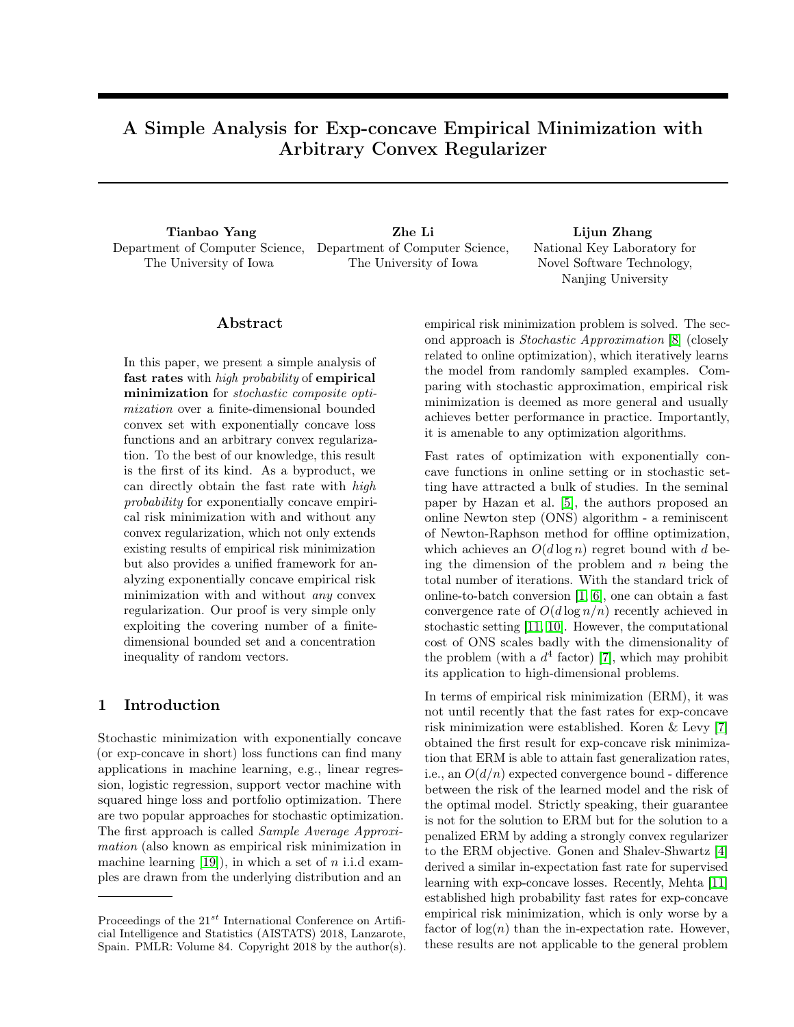# A Simple Analysis for Exp-concave Empirical Minimization with Arbitrary Convex Regularizer

Tianbao Yang diang zhe Lihang Zhe Lihang Zhang Zhang Zhang Zhang Zhang Zhang Zhang Zhang Zhang Zhang Zhang Zhang Zhang Zhang Zhang Zhang Zhang Zhang Zhang Zhang Zhang Zhang Zhang Zhang Zhang Zhang Zhang Zhang Zhang Zhang Z Department of Computer Science, Department of Computer Science, The University of Iowa

The University of Iowa

National Key Laboratory for Novel Software Technology, Nanjing University

# Abstract

In this paper, we present a simple analysis of fast rates with *high probability* of empirical minimization for stochastic composite optimization over a finite-dimensional bounded convex set with exponentially concave loss functions and an arbitrary convex regularization. To the best of our knowledge, this result is the first of its kind. As a byproduct, we can directly obtain the fast rate with high probability for exponentially concave empirical risk minimization with and without any convex regularization, which not only extends existing results of empirical risk minimization but also provides a unified framework for analyzing exponentially concave empirical risk minimization with and without any convex regularization. Our proof is very simple only exploiting the covering number of a finitedimensional bounded set and a concentration inequality of random vectors.

# 1 Introduction

Stochastic minimization with exponentially concave (or exp-concave in short) loss functions can find many applications in machine learning, e.g., linear regression, logistic regression, support vector machine with squared hinge loss and portfolio optimization. There are two popular approaches for stochastic optimization. The first approach is called Sample Average Approximation (also known as empirical risk minimization in machine learning  $[19]$ , in which a set of *n* i.i.d examples are drawn from the underlying distribution and an

empirical risk minimization problem is solved. The second approach is Stochastic Approximation [\[8\]](#page-7-0) (closely related to online optimization), which iteratively learns the model from randomly sampled examples. Comparing with stochastic approximation, empirical risk minimization is deemed as more general and usually achieves better performance in practice. Importantly, it is amenable to any optimization algorithms.

Fast rates of optimization with exponentially concave functions in online setting or in stochastic setting have attracted a bulk of studies. In the seminal paper by Hazan et al. [\[5\]](#page-7-1), the authors proposed an online Newton step (ONS) algorithm - a reminiscent of Newton-Raphson method for offline optimization, which achieves an  $O(d \log n)$  regret bound with d being the dimension of the problem and  $n$  being the total number of iterations. With the standard trick of online-to-batch conversion [\[1,](#page-7-2) [6\]](#page-7-3), one can obtain a fast convergence rate of  $O(d \log n/n)$  recently achieved in stochastic setting [\[11,](#page-8-1) [10\]](#page-8-2). However, the computational cost of ONS scales badly with the dimensionality of the problem (with a  $d^4$  factor) [\[7\]](#page-7-4), which may prohibit its application to high-dimensional problems.

In terms of empirical risk minimization (ERM), it was not until recently that the fast rates for exp-concave risk minimization were established. Koren & Levy [\[7\]](#page-7-4) obtained the first result for exp-concave risk minimization that ERM is able to attain fast generalization rates, i.e., an  $O(d/n)$  expected convergence bound - difference between the risk of the learned model and the risk of the optimal model. Strictly speaking, their guarantee is not for the solution to ERM but for the solution to a penalized ERM by adding a strongly convex regularizer to the ERM objective. Gonen and Shalev-Shwartz [\[4\]](#page-7-5) derived a similar in-expectation fast rate for supervised learning with exp-concave losses. Recently, Mehta [\[11\]](#page-8-1) established high probability fast rates for exp-concave empirical risk minimization, which is only worse by a factor of  $log(n)$  than the in-expectation rate. However, these results are not applicable to the general problem

Proceedings of the  $21^{st}$  International Conference on Artificial Intelligence and Statistics (AISTATS) 2018, Lanzarote, Spain. PMLR: Volume 84. Copyright 2018 by the author(s).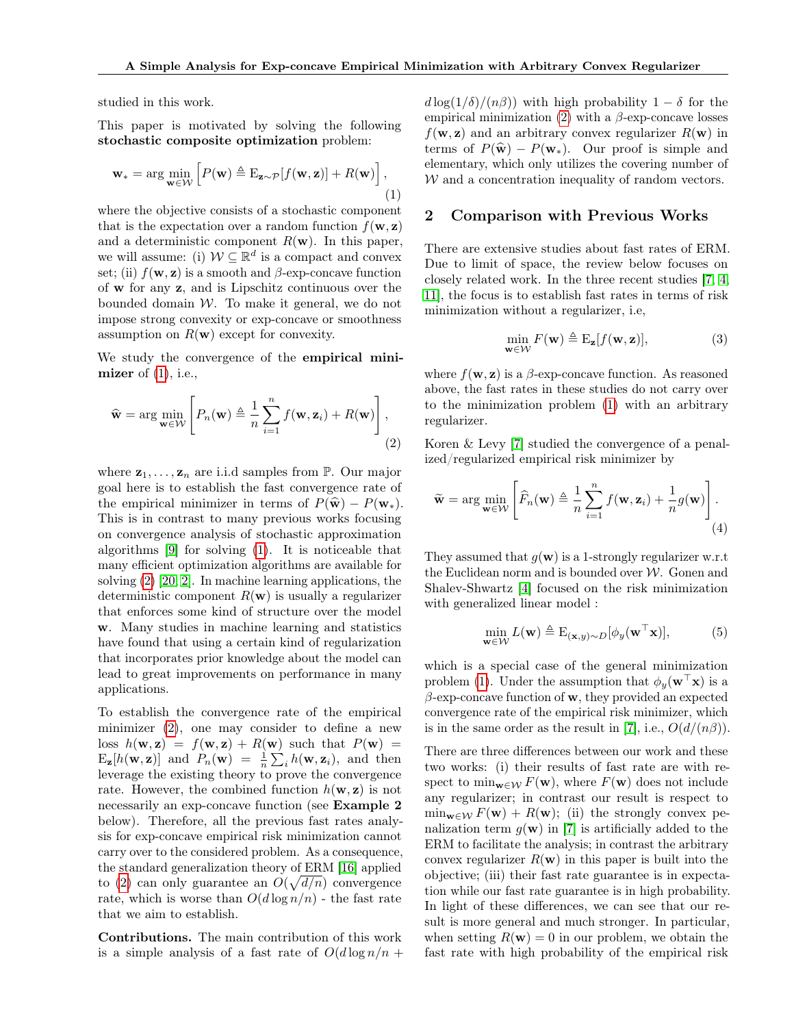studied in this work.

This paper is motivated by solving the following stochastic composite optimization problem:

<span id="page-1-0"></span>
$$
\mathbf{w}_{*} = \arg\min_{\mathbf{w} \in \mathcal{W}} \left[ P(\mathbf{w}) \triangleq \mathrm{E}_{\mathbf{z} \sim \mathcal{P}}[f(\mathbf{w}, \mathbf{z})] + R(\mathbf{w}) \right],
$$
\n(1)

where the objective consists of a stochastic component that is the expectation over a random function  $f(\mathbf{w}, \mathbf{z})$ and a deterministic component  $R(\mathbf{w})$ . In this paper, we will assume: (i)  $W \subseteq \mathbb{R}^d$  is a compact and convex set; (ii)  $f(\mathbf{w}, \mathbf{z})$  is a smooth and  $\beta$ -exp-concave function of w for any z, and is Lipschitz continuous over the bounded domain  $W$ . To make it general, we do not impose strong convexity or exp-concave or smoothness assumption on  $R(\mathbf{w})$  except for convexity.

We study the convergence of the empirical minimizer of  $(1)$ , i.e.,

$$
\widehat{\mathbf{w}} = \arg\min_{\mathbf{w} \in \mathcal{W}} \left[ P_n(\mathbf{w}) \triangleq \frac{1}{n} \sum_{i=1}^n f(\mathbf{w}, \mathbf{z}_i) + R(\mathbf{w}) \right],
$$
\n(2)

where  $z_1, \ldots, z_n$  are i.i.d samples from  $\mathbb{P}$ . Our major goal here is to establish the fast convergence rate of the empirical minimizer in terms of  $P(\hat{\mathbf{w}}) - P(\mathbf{w}_*)$ . This is in contrast to many previous works focusing on convergence analysis of stochastic approximation algorithms [\[9\]](#page-8-3) for solving [\(1\)](#page-1-0). It is noticeable that many efficient optimization algorithms are available for solving [\(2\)](#page-1-1) [\[20,](#page-8-4) [2\]](#page-7-6). In machine learning applications, the deterministic component  $R(\mathbf{w})$  is usually a regularizer that enforces some kind of structure over the model w. Many studies in machine learning and statistics have found that using a certain kind of regularization that incorporates prior knowledge about the model can lead to great improvements on performance in many applications.

To establish the convergence rate of the empirical minimizer [\(2\)](#page-1-1), one may consider to define a new loss  $h(\mathbf{w}, \mathbf{z}) = f(\mathbf{w}, \mathbf{z}) + R(\mathbf{w})$  such that  $P(\mathbf{w}) =$  $E_{\mathbf{z}}[h(\mathbf{w}, \mathbf{z})]$  and  $P_n(\mathbf{w}) = \frac{1}{n} \sum_i h(\mathbf{w}, \mathbf{z}_i)$ , and then leverage the existing theory to prove the convergence rate. However, the combined function  $h(\mathbf{w}, \mathbf{z})$  is not necessarily an exp-concave function (see Example 2 below). Therefore, all the previous fast rates analysis for exp-concave empirical risk minimization cannot carry over to the considered problem. As a consequence, the standard generalization theory of ERM [\[16\]](#page-8-5) applied to [\(2\)](#page-1-1) can only guarantee an  $O(\sqrt{d/n})$  convergence rate, which is worse than  $O(d \log n/n)$  - the fast rate that we aim to establish.

Contributions. The main contribution of this work is a simple analysis of a fast rate of  $O(d \log n/n +$   $d \log(1/\delta)/(n\beta)$  with high probability  $1 - \delta$  for the empirical minimization [\(2\)](#page-1-1) with a  $\beta$ -exp-concave losses  $f(\mathbf{w}, \mathbf{z})$  and an arbitrary convex regularizer  $R(\mathbf{w})$  in terms of  $P(\hat{\mathbf{w}}) - P(\mathbf{w}_*)$ . Our proof is simple and elementary, which only utilizes the covering number of  $W$  and a concentration inequality of random vectors.

## 2 Comparison with Previous Works

There are extensive studies about fast rates of ERM. Due to limit of space, the review below focuses on closely related work. In the three recent studies [\[7,](#page-7-4) [4,](#page-7-5) [11\]](#page-8-1), the focus is to establish fast rates in terms of risk minimization without a regularizer, i.e,

<span id="page-1-3"></span>
$$
\min_{\mathbf{w}\in\mathcal{W}} F(\mathbf{w}) \triangleq \mathcal{E}_{\mathbf{z}}[f(\mathbf{w}, \mathbf{z})],\tag{3}
$$

where  $f(\mathbf{w}, \mathbf{z})$  is a  $\beta$ -exp-concave function. As reasoned above, the fast rates in these studies do not carry over to the minimization problem [\(1\)](#page-1-0) with an arbitrary regularizer.

<span id="page-1-1"></span>Koren & Levy [\[7\]](#page-7-4) studied the convergence of a penalized/regularized empirical risk minimizer by

$$
\widetilde{\mathbf{w}} = \arg \min_{\mathbf{w} \in \mathcal{W}} \left[ \widehat{F}_n(\mathbf{w}) \triangleq \frac{1}{n} \sum_{i=1}^n f(\mathbf{w}, \mathbf{z}_i) + \frac{1}{n} g(\mathbf{w}) \right].
$$
\n(4)

They assumed that  $g(\mathbf{w})$  is a 1-strongly regularizer w.r.t the Euclidean norm and is bounded over  $W$ . Gonen and Shalev-Shwartz [\[4\]](#page-7-5) focused on the risk minimization with generalized linear model :

<span id="page-1-2"></span>
$$
\min_{\mathbf{w} \in \mathcal{W}} L(\mathbf{w}) \triangleq \mathbf{E}_{(\mathbf{x}, y) \sim D}[\phi_y(\mathbf{w}^\top \mathbf{x})],\tag{5}
$$

which is a special case of the general minimization problem [\(1\)](#page-1-0). Under the assumption that  $\phi_y(\mathbf{w}^\top \mathbf{x})$  is a  $\beta$ -exp-concave function of **w**, they provided an expected convergence rate of the empirical risk minimizer, which is in the same order as the result in [\[7\]](#page-7-4), i.e.,  $O(d/(n\beta))$ .

There are three differences between our work and these two works: (i) their results of fast rate are with respect to  $\min_{\mathbf{w}\in\mathcal{W}} F(\mathbf{w})$ , where  $F(\mathbf{w})$  does not include any regularizer; in contrast our result is respect to  $\min_{\mathbf{w}\in\mathcal{W}} F(\mathbf{w}) + R(\mathbf{w});$  (ii) the strongly convex penalization term  $g(\mathbf{w})$  in [\[7\]](#page-7-4) is artificially added to the ERM to facilitate the analysis; in contrast the arbitrary convex regularizer  $R(\mathbf{w})$  in this paper is built into the objective; (iii) their fast rate guarantee is in expectation while our fast rate guarantee is in high probability. In light of these differences, we can see that our result is more general and much stronger. In particular, when setting  $R(\mathbf{w}) = 0$  in our problem, we obtain the fast rate with high probability of the empirical risk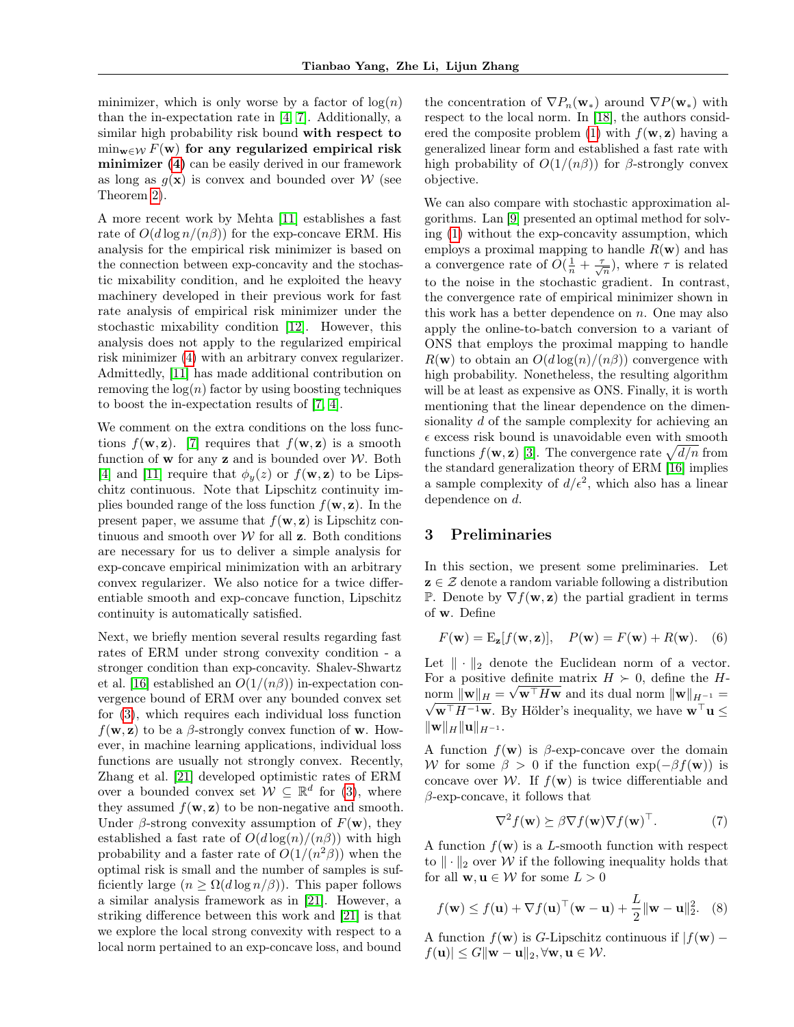minimizer, which is only worse by a factor of  $log(n)$ than the in-expectation rate in [\[4,](#page-7-5) [7\]](#page-7-4). Additionally, a similar high probability risk bound with respect to  $\min_{\mathbf{w}\in\mathcal{W}} F(\mathbf{w})$  for any regularized empirical risk minimizer [\(4\)](#page-1-2) can be easily derived in our framework as long as  $q(\mathbf{x})$  is convex and bounded over W (see Theorem [2\)](#page-4-0).

A more recent work by Mehta [\[11\]](#page-8-1) establishes a fast rate of  $O(d \log n/(n \beta))$  for the exp-concave ERM. His analysis for the empirical risk minimizer is based on the connection between exp-concavity and the stochastic mixability condition, and he exploited the heavy machinery developed in their previous work for fast rate analysis of empirical risk minimizer under the stochastic mixability condition [\[12\]](#page-8-6). However, this analysis does not apply to the regularized empirical risk minimizer [\(4\)](#page-1-2) with an arbitrary convex regularizer. Admittedly, [\[11\]](#page-8-1) has made additional contribution on removing the  $log(n)$  factor by using boosting techniques to boost the in-expectation results of [\[7,](#page-7-4) [4\]](#page-7-5).

We comment on the extra conditions on the loss functions  $f(\mathbf{w}, \mathbf{z})$ . [\[7\]](#page-7-4) requires that  $f(\mathbf{w}, \mathbf{z})$  is a smooth function of **w** for any **z** and is bounded over  $W$ . Both [\[4\]](#page-7-5) and [\[11\]](#page-8-1) require that  $\phi_y(z)$  or  $f(\mathbf{w}, \mathbf{z})$  to be Lipschitz continuous. Note that Lipschitz continuity implies bounded range of the loss function  $f(\mathbf{w}, \mathbf{z})$ . In the present paper, we assume that  $f(\mathbf{w}, \mathbf{z})$  is Lipschitz continuous and smooth over  $W$  for all  $z$ . Both conditions are necessary for us to deliver a simple analysis for exp-concave empirical minimization with an arbitrary convex regularizer. We also notice for a twice differentiable smooth and exp-concave function, Lipschitz continuity is automatically satisfied.

Next, we briefly mention several results regarding fast rates of ERM under strong convexity condition - a stronger condition than exp-concavity. Shalev-Shwartz et al. [\[16\]](#page-8-5) established an  $O(1/(n\beta))$  in-expectation convergence bound of ERM over any bounded convex set for [\(3\)](#page-1-3), which requires each individual loss function  $f(\mathbf{w}, \mathbf{z})$  to be a  $\beta$ -strongly convex function of **w**. However, in machine learning applications, individual loss functions are usually not strongly convex. Recently, Zhang et al. [\[21\]](#page-8-7) developed optimistic rates of ERM over a bounded convex set  $W \subseteq \mathbb{R}^d$  for [\(3\)](#page-1-3), where they assumed  $f(\mathbf{w}, \mathbf{z})$  to be non-negative and smooth. Under  $\beta$ -strong convexity assumption of  $F(\mathbf{w})$ , they established a fast rate of  $O(d \log(n)/(n \beta))$  with high probability and a faster rate of  $O(1/(n^2\beta))$  when the optimal risk is small and the number of samples is sufficiently large  $(n \geq \Omega(d \log n/\beta))$ . This paper follows a similar analysis framework as in [\[21\]](#page-8-7). However, a striking difference between this work and [\[21\]](#page-8-7) is that we explore the local strong convexity with respect to a local norm pertained to an exp-concave loss, and bound

the concentration of  $\nabla P_n(\mathbf{w}_*)$  around  $\nabla P(\mathbf{w}_*)$  with respect to the local norm. In [\[18\]](#page-8-8), the authors consid-ered the composite problem [\(1\)](#page-1-0) with  $f(\mathbf{w}, \mathbf{z})$  having a generalized linear form and established a fast rate with high probability of  $O(1/(n\beta))$  for  $\beta$ -strongly convex objective.

We can also compare with stochastic approximation algorithms. Lan [\[9\]](#page-8-3) presented an optimal method for solving [\(1\)](#page-1-0) without the exp-concavity assumption, which employs a proximal mapping to handle  $R(\mathbf{w})$  and has a convergence rate of  $O(\frac{1}{n} + \frac{\tau}{\sqrt{n}})$ , where  $\tau$  is related to the noise in the stochastic gradient. In contrast, the convergence rate of empirical minimizer shown in this work has a better dependence on  $n$ . One may also apply the online-to-batch conversion to a variant of ONS that employs the proximal mapping to handle  $R(\mathbf{w})$  to obtain an  $O(d \log(n)/(n \beta))$  convergence with high probability. Nonetheless, the resulting algorithm will be at least as expensive as ONS. Finally, it is worth mentioning that the linear dependence on the dimensionality d of the sample complexity for achieving an  $\epsilon$  excess risk bound is unavoidable even with smooth functions  $f(\mathbf{w}, \mathbf{z})$  [\[3\]](#page-7-7). The convergence rate  $\sqrt{d/n}$  from the standard generalization theory of ERM [\[16\]](#page-8-5) implies a sample complexity of  $d/\epsilon^2$ , which also has a linear dependence on d.

# 3 Preliminaries

In this section, we present some preliminaries. Let  $z \in \mathcal{Z}$  denote a random variable following a distribution P. Denote by  $\nabla f(\mathbf{w}, \mathbf{z})$  the partial gradient in terms of w. Define

$$
F(\mathbf{w}) = \mathbf{E}_{\mathbf{z}}[f(\mathbf{w}, \mathbf{z})], \quad P(\mathbf{w}) = F(\mathbf{w}) + R(\mathbf{w}). \quad (6)
$$

Let  $\|\cdot\|_2$  denote the Euclidean norm of a vector. For a positive definite matrix  $H \succ 0$ , define the H- $\text{norm } ||\mathbf{w}||_H = \sqrt{\mathbf{w}^\top H \mathbf{w}}$  and its dual norm  $||\mathbf{w}||_{H^{-1}} =$  $\sqrt{\mathbf{w}^{\top}H^{-1}\mathbf{w}}$ . By Hölder's inequality, we have  $\mathbf{w}^{\top}\mathbf{u} \leq$  $\|w\|_H \|u\|_{H^{-1}}$ .

A function  $f(\mathbf{w})$  is  $\beta$ -exp-concave over the domain W for some  $\beta > 0$  if the function  $\exp(-\beta f(\mathbf{w}))$  is concave over W. If  $f(\mathbf{w})$  is twice differentiable and  $\beta$ -exp-concave, it follows that

<span id="page-2-0"></span>
$$
\nabla^2 f(\mathbf{w}) \succeq \beta \nabla f(\mathbf{w}) \nabla f(\mathbf{w})^\top. \tag{7}
$$

A function  $f(\mathbf{w})$  is a L-smooth function with respect to  $\|\cdot\|_2$  over W if the following inequality holds that for all  $\mathbf{w}, \mathbf{u} \in \mathcal{W}$  for some  $L > 0$ 

$$
f(\mathbf{w}) \le f(\mathbf{u}) + \nabla f(\mathbf{u})^{\top}(\mathbf{w} - \mathbf{u}) + \frac{L}{2} ||\mathbf{w} - \mathbf{u}||_2^2.
$$
 (8)

A function  $f(\mathbf{w})$  is G-Lipschitz continuous if  $|f(\mathbf{w}) |f(\mathbf{u})| \leq G \|\mathbf{w} - \mathbf{u}\|_2, \forall \mathbf{w}, \mathbf{u} \in \mathcal{W}.$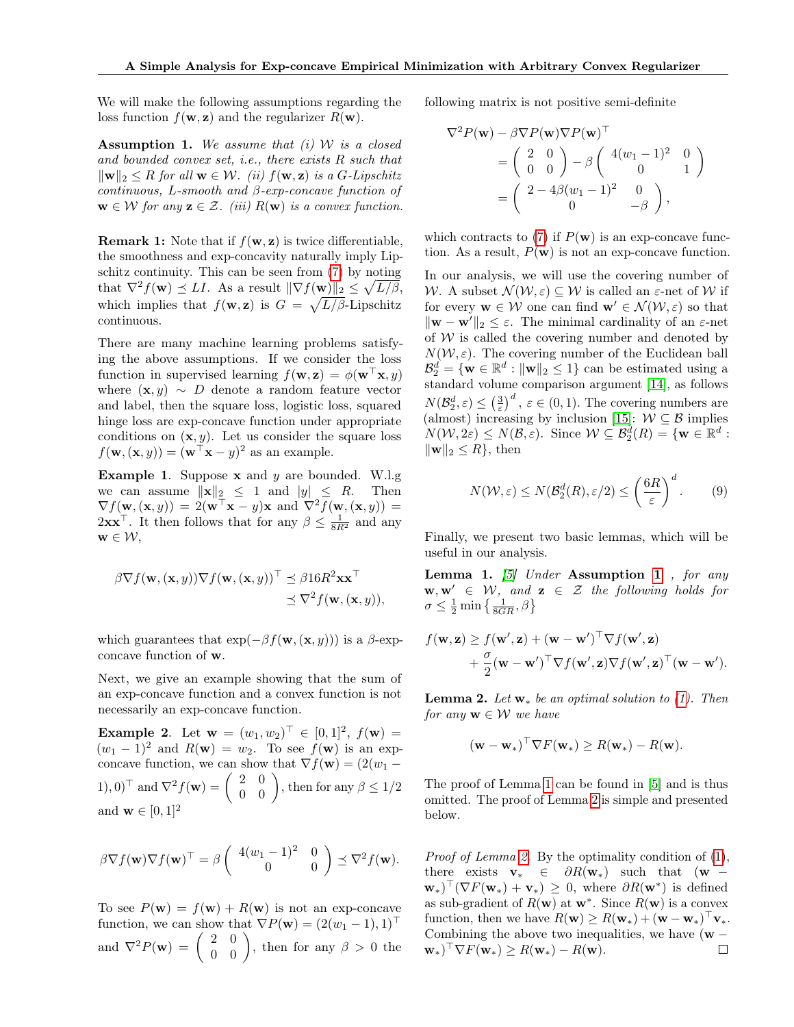We will make the following assumptions regarding the loss function  $f(\mathbf{w}, \mathbf{z})$  and the regularizer  $R(\mathbf{w})$ .

<span id="page-3-0"></span>Assumption 1. We assume that  $(i)$  W is a closed and bounded convex set, i.e., there exists R such that  $\|\mathbf{w}\|_2 \leq R$  for all  $\mathbf{w} \in \mathcal{W}$ . (ii)  $f(\mathbf{w}, \mathbf{z})$  is a G-Lipschitz continuous, L-smooth and  $\beta$ -exp-concave function of  $\mathbf{w} \in \mathcal{W}$  for any  $\mathbf{z} \in \mathcal{Z}$ . (iii)  $R(\mathbf{w})$  is a convex function.

**Remark 1:** Note that if  $f(\mathbf{w}, \mathbf{z})$  is twice differentiable, the smoothness and exp-concavity naturally imply Lipschitz continuity. This can be seen from [\(7\)](#page-2-0) by noting that  $\nabla^2 f(\mathbf{w}) \preceq L I$ . As a result  $\|\nabla f(\mathbf{w})\|_2 \leq \sqrt{L/\beta}$ , which implies that  $f(\mathbf{w}, \mathbf{z})$  is  $G = \sqrt{L/\beta}$ -Lipschitz continuous.

There are many machine learning problems satisfying the above assumptions. If we consider the loss function in supervised learning  $f(\mathbf{w}, \mathbf{z}) = \phi(\mathbf{w}^{\top}\mathbf{x}, y)$ where  $(\mathbf{x}, y) \sim D$  denote a random feature vector and label, then the square loss, logistic loss, squared hinge loss are exp-concave function under appropriate conditions on  $(x, y)$ . Let us consider the square loss  $f(\mathbf{w}, (\mathbf{x}, y)) = (\mathbf{w}^\top \mathbf{x} - y)^2$  as an example.

**Example 1.** Suppose **x** and  $y$  are bounded. W.l.g we can assume  $\|\mathbf{x}\|_2 \leq 1$  and  $|y| \leq R$ . Then  $\nabla f(\mathbf{w}, (\mathbf{x}, y)) = 2(\mathbf{w}^\top \mathbf{x} - y)\mathbf{x}$  and  $\nabla^2 f(\mathbf{w}, (\mathbf{x}, y)) =$  $2\mathbf{x}\mathbf{x}^{\top}$ . It then follows that for any  $\beta \leq \frac{1}{8R^2}$  and any  $\mathbf{w} \in \mathcal{W},$ 

$$
\beta \nabla f(\mathbf{w}, (\mathbf{x}, y)) \nabla f(\mathbf{w}, (\mathbf{x}, y))^\top \preceq \beta 16R^2 \mathbf{x} \mathbf{x}^\top \preceq \nabla^2 f(\mathbf{w}, (\mathbf{x}, y)),
$$

which guarantees that  $\exp(-\beta f(\mathbf{w}, (\mathbf{x}, y)))$  is a  $\beta$ -expconcave function of w.

Next, we give an example showing that the sum of an exp-concave function and a convex function is not necessarily an exp-concave function.

**Example 2.** Let  $\mathbf{w} = (w_1, w_2)^\top \in [0, 1]^2$ ,  $f(\mathbf{w}) =$  $(w_1 - 1)^2$  and  $R(\mathbf{w}) = w_2$ . To see  $f(\mathbf{w})$  is an expconcave function, we can show that  $\nabla f(\mathbf{w}) = (2(w_1 -$ 1), 0)<sup> $\top$ </sup> and  $\nabla^2 f(\mathbf{w}) = \begin{pmatrix} 2 & 0 \\ 0 & 0 \end{pmatrix}$ , then for any  $\beta \leq 1/2$ and  $\mathbf{w} \in [0, 1]^2$ 

$$
\beta \nabla f(\mathbf{w}) \nabla f(\mathbf{w})^{\top} = \beta \begin{pmatrix} 4(w_1 - 1)^2 & 0 \\ 0 & 0 \end{pmatrix} \preceq \nabla^2 f(\mathbf{w}).
$$

To see  $P(\mathbf{w}) = f(\mathbf{w}) + R(\mathbf{w})$  is not an exp-concave function, we can show that  $\nabla P(\mathbf{w}) = (2(w_1 - 1), 1)^\top$ and  $\nabla^2 P(\mathbf{w}) = \begin{pmatrix} 2 & 0 \\ 0 & 0 \end{pmatrix}$ , then for any  $\beta > 0$  the following matrix is not positive semi-definite

$$
\nabla^2 P(\mathbf{w}) - \beta \nabla P(\mathbf{w}) \nabla P(\mathbf{w})^\top \n= \begin{pmatrix} 2 & 0 \\ 0 & 0 \end{pmatrix} - \beta \begin{pmatrix} 4(w_1 - 1)^2 & 0 \\ 0 & 1 \end{pmatrix} \n= \begin{pmatrix} 2 - 4\beta (w_1 - 1)^2 & 0 \\ 0 & -\beta \end{pmatrix},
$$

which contracts to [\(7\)](#page-2-0) if  $P(\mathbf{w})$  is an exp-concave function. As a result,  $P(\mathbf{w})$  is not an exp-concave function.

In our analysis, we will use the covering number of W. A subset  $\mathcal{N}(\mathcal{W}, \varepsilon) \subseteq \mathcal{W}$  is called an  $\varepsilon$ -net of W if for every  $\mathbf{w} \in \mathcal{W}$  one can find  $\mathbf{w}' \in \mathcal{N} (\mathcal{W}, \varepsilon)$  so that  $\|\mathbf{w} - \mathbf{w}'\|_2 \leq \varepsilon$ . The minimal cardinality of an  $\varepsilon$ -net of  $W$  is called the covering number and denoted by  $N(W, \varepsilon)$ . The covering number of the Euclidean ball  $\mathcal{B}_2^d = \{ \mathbf{w} \in \mathbb{R}^d : ||\mathbf{w}||_2 \leq 1 \}$  can be estimated using a standard volume comparison argument [\[14\]](#page-8-9), as follows  $N(\mathcal{B}_2^d, \varepsilon) \leq \left(\frac{3}{\varepsilon}\right)^d$ ,  $\varepsilon \in (0, 1)$ . The covering numbers are (almost) increasing by inclusion [\[15\]](#page-8-10):  $W \subseteq \mathcal{B}$  implies  $N(W, 2\varepsilon) \le N(\mathcal{B}, \varepsilon)$ . Since  $\mathcal{W} \subseteq \mathcal{B}_2^d(R) = \{ \mathbf{w} \in \mathbb{R}^d :$  $\|\mathbf{w}\|_2 \leq R$ , then

$$
N(W,\varepsilon) \le N(\mathcal{B}_2^d(R), \varepsilon/2) \le \left(\frac{6R}{\varepsilon}\right)^d.
$$
 (9)

Finally, we present two basic lemmas, which will be useful in our analysis.

<span id="page-3-1"></span>**Lemma [1](#page-3-0).** [\[5\]](#page-7-1) Under Assumption 1, for any  $\mathbf{w}, \mathbf{w}' \in \mathcal{W}$ , and  $\mathbf{z} \in \mathcal{Z}$  the following holds for  $\sigma \leq \frac{1}{2} \min \left\{ \frac{1}{8GR}, \beta \right\}$ 

$$
f(\mathbf{w}, \mathbf{z}) \ge f(\mathbf{w}', \mathbf{z}) + (\mathbf{w} - \mathbf{w}')^\top \nabla f(\mathbf{w}', \mathbf{z}) + \frac{\sigma}{2} (\mathbf{w} - \mathbf{w}')^\top \nabla f(\mathbf{w}', \mathbf{z}) \nabla f(\mathbf{w}', \mathbf{z})^\top (\mathbf{w} - \mathbf{w}').
$$

<span id="page-3-2"></span>**Lemma 2.** Let  $\mathbf{w}_*$  be an optimal solution to [\(1\)](#page-1-0). Then for any  $\mathbf{w} \in \mathcal{W}$  we have

$$
(\mathbf{w} - \mathbf{w}_*)^{\top} \nabla F(\mathbf{w}_*) \ge R(\mathbf{w}_*) - R(\mathbf{w}).
$$

The proof of Lemma [1](#page-3-1) can be found in [\[5\]](#page-7-1) and is thus omitted. The proof of Lemma [2](#page-3-2) is simple and presented below.

Proof of Lemma [2.](#page-3-2) By the optimality condition of  $(1)$ , there exists  $\mathbf{v}_* \in \partial R(\mathbf{w}_*)$  such that  $(\mathbf{w} (\mathbf{w}_*)^\top (\nabla F(\mathbf{w}_*) + \mathbf{v}_*) \geq 0$ , where  $\partial R(\mathbf{w}^*)$  is defined as sub-gradient of  $R(\mathbf{w})$  at  $\mathbf{w}^*$ . Since  $R(\mathbf{w})$  is a convex function, then we have  $R(\mathbf{w}) \geq R(\mathbf{w}_*) + (\mathbf{w} - \mathbf{w}_*)^{\top} \mathbf{v}_*.$ Combining the above two inequalities, we have  $(w (\mathbf{w}_*)^{\top} \nabla F(\mathbf{w}_*) \geq R(\mathbf{w}_*) - R(\mathbf{w}).$  $\Box$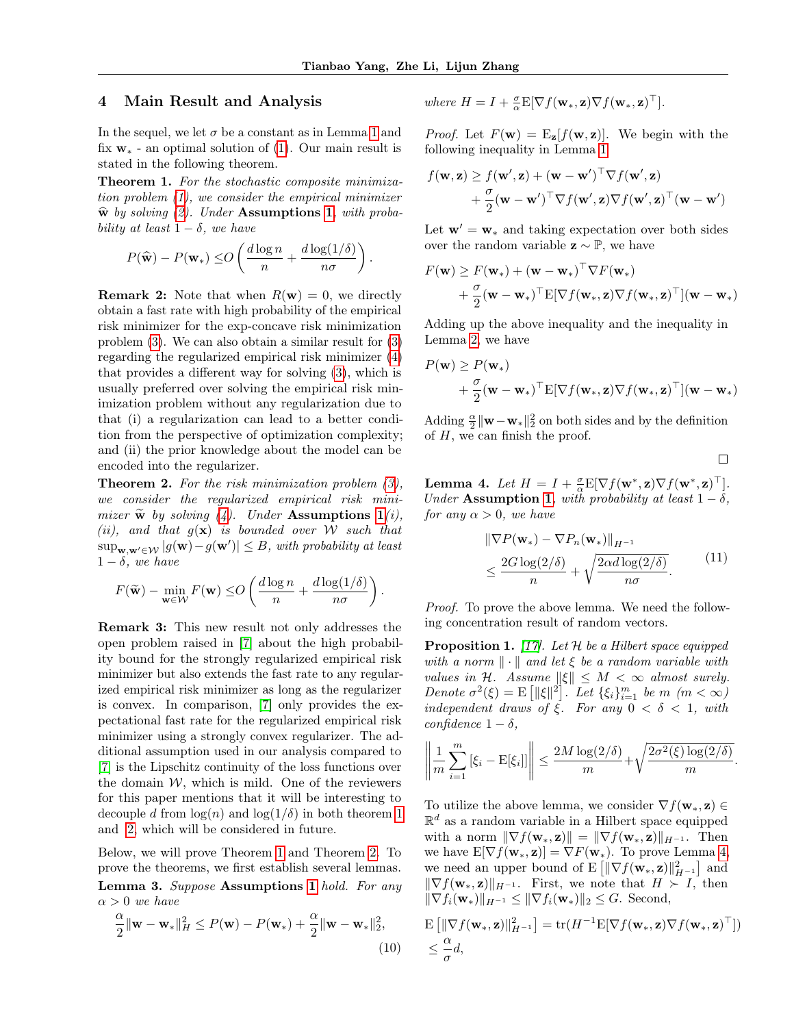# 4 Main Result and Analysis

In the sequel, we let  $\sigma$  be a constant as in Lemma [1](#page-3-1) and fix  $w_*$  - an optimal solution of [\(1\)](#page-1-0). Our main result is stated in the following theorem.

<span id="page-4-1"></span>Theorem 1. For the stochastic composite minimization problem [\(1\)](#page-1-0), we consider the empirical minimizer  $\hat{\mathbf{w}}$  by solving [\(2\)](#page-1-1). Under Assumptions [1](#page-3-0), with probability at least  $1 - \delta$ , we have

$$
P(\widehat{\mathbf{w}}) - P(\mathbf{w}_*) \leq O\left(\frac{d \log n}{n} + \frac{d \log(1/\delta)}{n\sigma}\right).
$$

**Remark 2:** Note that when  $R(\mathbf{w}) = 0$ , we directly obtain a fast rate with high probability of the empirical risk minimizer for the exp-concave risk minimization problem [\(3\)](#page-1-3). We can also obtain a similar result for [\(3\)](#page-1-3) regarding the regularized empirical risk minimizer [\(4\)](#page-1-2) that provides a different way for solving [\(3\)](#page-1-3), which is usually preferred over solving the empirical risk minimization problem without any regularization due to that (i) a regularization can lead to a better condition from the perspective of optimization complexity; and (ii) the prior knowledge about the model can be encoded into the regularizer.

<span id="page-4-0"></span>**Theorem 2.** For the risk minimization problem  $(3)$ , we consider the regularized empirical risk minimizer  $\widetilde{\mathbf{w}}$  by solving [\(4\)](#page-1-2). Under Assumptions [1](#page-3-0)(i), (ii), and that  $g(x)$  is bounded over W such that  $\sup_{\mathbf{w},\mathbf{w}'\in\mathcal{W}}|g(\mathbf{w})-g(\mathbf{w}')|\leq B$ , with probability at least  $1 - \delta$ , we have

$$
F(\widetilde{\mathbf{w}}) - \min_{\mathbf{w} \in \mathcal{W}} F(\mathbf{w}) \le O\left(\frac{d \log n}{n} + \frac{d \log(1/\delta)}{n\sigma}\right).
$$

Remark 3: This new result not only addresses the open problem raised in [\[7\]](#page-7-4) about the high probability bound for the strongly regularized empirical risk minimizer but also extends the fast rate to any regularized empirical risk minimizer as long as the regularizer is convex. In comparison, [\[7\]](#page-7-4) only provides the expectational fast rate for the regularized empirical risk minimizer using a strongly convex regularizer. The additional assumption used in our analysis compared to [\[7\]](#page-7-4) is the Lipschitz continuity of the loss functions over the domain  $W$ , which is mild. One of the reviewers for this paper mentions that it will be interesting to decouple d from  $\log(n)$  and  $\log(1/\delta)$  in both theorem [1](#page-4-1) and [2,](#page-4-0) which will be considered in future.

Below, we will prove Theorem [1](#page-4-1) and Theorem [2.](#page-4-0) To prove the theorems, we first establish several lemmas. Lemma 3. Suppose Assumptions [1](#page-3-0) hold. For any  $\alpha > 0$  we have

$$
\frac{\alpha}{2} \|\mathbf{w} - \mathbf{w}_*\|_H^2 \le P(\mathbf{w}) - P(\mathbf{w}_*) + \frac{\alpha}{2} \|\mathbf{w} - \mathbf{w}_*\|_2^2,
$$
\n(10)

where 
$$
H = I + \frac{\sigma}{\alpha} E[\nabla f(\mathbf{w}_*, \mathbf{z}) \nabla f(\mathbf{w}_*, \mathbf{z})^\top].
$$

*Proof.* Let  $F(\mathbf{w}) = \mathbf{E}_{\mathbf{z}}[f(\mathbf{w}, \mathbf{z})]$ . We begin with the following inequality in Lemma [1](#page-3-1)

$$
f(\mathbf{w}, \mathbf{z}) \ge f(\mathbf{w}', \mathbf{z}) + (\mathbf{w} - \mathbf{w}')^\top \nabla f(\mathbf{w}', \mathbf{z}) + \frac{\sigma}{2} (\mathbf{w} - \mathbf{w}')^\top \nabla f(\mathbf{w}', \mathbf{z}) \nabla f(\mathbf{w}', \mathbf{z})^\top (\mathbf{w} - \mathbf{w}')
$$

Let  $\mathbf{w}' = \mathbf{w}_*$  and taking expectation over both sides over the random variable  $\mathbf{z} \sim \mathbb{P}$ , we have

$$
F(\mathbf{w}) \geq F(\mathbf{w}_{*}) + (\mathbf{w} - \mathbf{w}_{*})^{\top} \nabla F(\mathbf{w}_{*}) + \frac{\sigma}{2} (\mathbf{w} - \mathbf{w}_{*})^{\top} E[\nabla f(\mathbf{w}_{*}, \mathbf{z}) \nabla f(\mathbf{w}_{*}, \mathbf{z})^{\top}](\mathbf{w} - \mathbf{w}_{*})
$$

Adding up the above inequality and the inequality in Lemma [2,](#page-3-2) we have

$$
P(\mathbf{w}) \ge P(\mathbf{w}_{*}) + \frac{\sigma}{2}(\mathbf{w} - \mathbf{w}_{*})^{\top} E[\nabla f(\mathbf{w}_{*}, \mathbf{z}) \nabla f(\mathbf{w}_{*}, \mathbf{z})^{\top}](\mathbf{w} - \mathbf{w}_{*})
$$

Adding  $\frac{\alpha}{2} \|\mathbf{w} - \mathbf{w}_*\|_2^2$  on both sides and by the definition of  $H$ , we can finish the proof.

 $\Box$ 

<span id="page-4-2"></span>**Lemma 4.** Let  $H = I + \frac{\sigma}{\alpha} E[\nabla f(\mathbf{w}^*, \mathbf{z}) \nabla f(\mathbf{w}^*, \mathbf{z})^\top].$ Under Assumption [1](#page-3-0), with probability at least  $1 - \delta$ , for any  $\alpha > 0$ , we have

$$
\|\nabla P(\mathbf{w}_*) - \nabla P_n(\mathbf{w}_*)\|_{H^{-1}}\n\le \frac{2G \log(2/\delta)}{n} + \sqrt{\frac{2\alpha d \log(2/\delta)}{n\sigma}}.
$$
\n(11)

Proof. To prove the above lemma. We need the following concentration result of random vectors.

<span id="page-4-3"></span>**Proposition 1.** [\[17\]](#page-8-11). Let  $H$  be a Hilbert space equipped with a norm  $\|\cdot\|$  and let  $\xi$  be a random variable with values in H. Assume  $\|\xi\| \leq M < \infty$  almost surely. Denote  $\sigma^2(\xi) = \mathbb{E} \left[ \|\xi\|^2 \right]$ . Let  $\{\xi_i\}_{i=1}^m$  be  $m \ (m < \infty)$ independent draws of ξ. For any  $0 < \delta < 1$ , with confidence  $1 - \delta$ ,

$$
\left\|\frac{1}{m}\sum_{i=1}^m\left[\xi_i - \mathrm{E}[\xi_i]\right]\right\| \le \frac{2M\log(2/\delta)}{m} + \sqrt{\frac{2\sigma^2(\xi)\log(2/\delta)}{m}}.
$$

To utilize the above lemma, we consider  $\nabla f(\mathbf{w}_*, \mathbf{z}) \in$  $\mathbb{R}^d$  as a random variable in a Hilbert space equipped with a norm  $\|\nabla f(\mathbf{w}_*, \mathbf{z})\| = \|\nabla f(\mathbf{w}_*, \mathbf{z})\|_{H^{-1}}$ . Then we have  $E[\nabla f(\mathbf{w}_*, \mathbf{z})] = \nabla F(\mathbf{w}_*)$ . To prove Lemma [4,](#page-4-2) we need an upper bound of  $E\left[\|\nabla f(\mathbf{w}_*, \mathbf{z})\|_{H^{-1}}^2\right]$  and  $\|\nabla f(\mathbf{w}_*, \mathbf{z})\|_{H^{-1}}$ . First, we note that  $H \succ I$ , then  $\|\nabla f_i(\mathbf{w}_*)\|_{H^{-1}} \leq \|\nabla f_i(\mathbf{w}_*)\|_2 \leq G.$  Second,

$$
\mathbf{E}\left[\|\nabla f(\mathbf{w}_*, \mathbf{z})\|_{H^{-1}}^2\right] = \text{tr}(H^{-1}\mathbf{E}[\nabla f(\mathbf{w}_*, \mathbf{z})\nabla f(\mathbf{w}_*, \mathbf{z})^\top])
$$
  

$$
\leq \frac{\alpha}{\sigma}d,
$$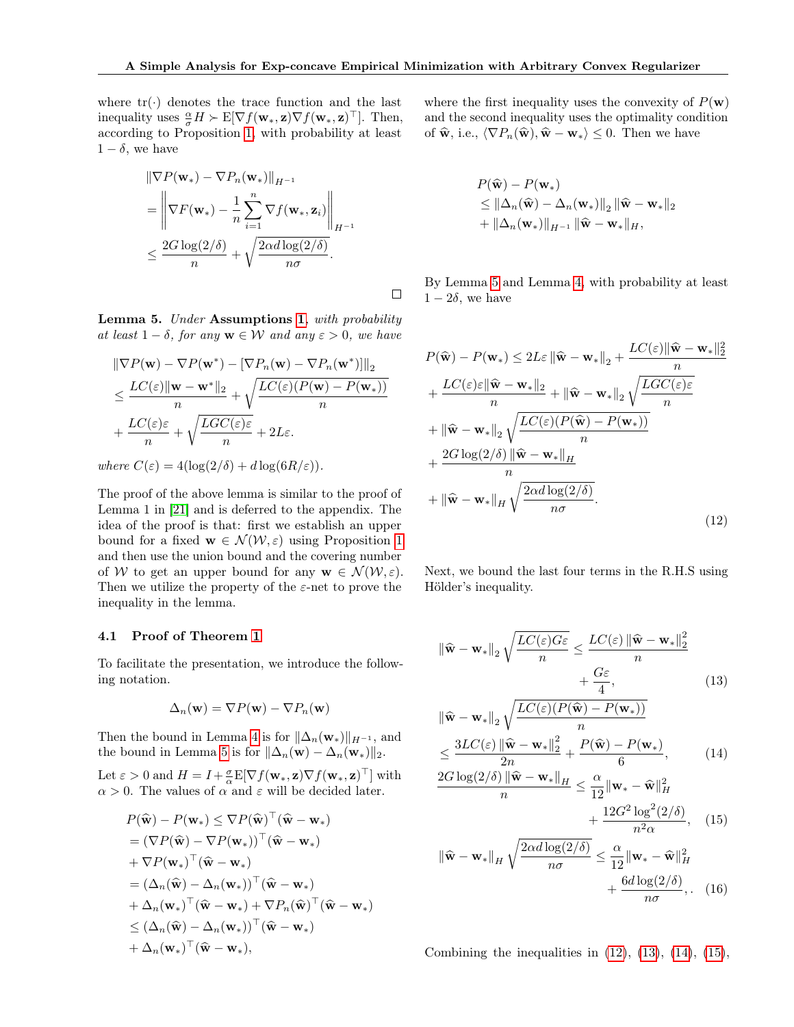where  $tr(\cdot)$  denotes the trace function and the last inequality uses  $\frac{\alpha}{\sigma}H \succ \mathbb{E}[\nabla f(\mathbf{w}_*, \mathbf{z}) \nabla f(\mathbf{w}_*, \mathbf{z})^\top]$ . Then, according to Proposition [1,](#page-4-3) with probability at least  $1 - \delta$ , we have

$$
\|\nabla P(\mathbf{w}_*) - \nabla P_n(\mathbf{w}_*)\|_{H^{-1}} \n= \left\|\nabla F(\mathbf{w}_*) - \frac{1}{n} \sum_{i=1}^n \nabla f(\mathbf{w}_*, \mathbf{z}_i)\right\|_{H^{-1}} \n\leq \frac{2G \log(2/\delta)}{n} + \sqrt{\frac{2\alpha d \log(2/\delta)}{n\sigma}}.
$$

<span id="page-5-0"></span>Lemma 5. Under Assumptions [1](#page-3-0), with probability at least  $1 - \delta$ , for any  $\mathbf{w} \in \mathcal{W}$  and any  $\varepsilon > 0$ , we have

$$
\|\nabla P(\mathbf{w}) - \nabla P(\mathbf{w}^*) - [\nabla P_n(\mathbf{w}) - \nabla P_n(\mathbf{w}^*)]\|_2
$$
  
\n
$$
\leq \frac{LC(\varepsilon) \|\mathbf{w} - \mathbf{w}^*\|_2}{n} + \sqrt{\frac{LC(\varepsilon)(P(\mathbf{w}) - P(\mathbf{w}_*))}{n}}
$$
  
\n
$$
+ \frac{LC(\varepsilon)\varepsilon}{n} + \sqrt{\frac{LGC(\varepsilon)\varepsilon}{n}} + 2L\varepsilon.
$$

where  $C(\varepsilon) = 4(\log(2/\delta) + d \log(6R/\varepsilon)).$ 

The proof of the above lemma is similar to the proof of Lemma 1 in [\[21\]](#page-8-7) and is deferred to the appendix. The idea of the proof is that: first we establish an upper bound for a fixed  $\mathbf{w} \in \mathcal{N}(\mathcal{W}, \varepsilon)$  using Proposition [1](#page-4-3) and then use the union bound and the covering number of W to get an upper bound for any  $\mathbf{w} \in \mathcal{N}(\mathcal{W}, \varepsilon)$ . Then we utilize the property of the  $\varepsilon$ -net to prove the inequality in the lemma.

#### 4.1 Proof of Theorem [1](#page-4-1)

To facilitate the presentation, we introduce the following notation.

$$
\Delta_n(\mathbf{w}) = \nabla P(\mathbf{w}) - \nabla P_n(\mathbf{w})
$$

Then the bound in Lemma [4](#page-4-2) is for  $\|\Delta_n(\mathbf{w}_*)\|_{H^{-1}}$ , and the bound in Lemma [5](#page-5-0) is for  $\|\Delta_n(\mathbf{w}) - \Delta_n(\mathbf{w}_*)\|_2$ .

Let  $\varepsilon > 0$  and  $H = I + \frac{\sigma}{\alpha} E[\nabla f(\mathbf{w}_*, \mathbf{z}) \nabla f(\mathbf{w}_*, \mathbf{z})^\top]$  with  $\alpha > 0$ . The values of  $\alpha$  and  $\varepsilon$  will be decided later.

$$
P(\widehat{\mathbf{w}}) - P(\mathbf{w}_*) \le \nabla P(\widehat{\mathbf{w}})^\top (\widehat{\mathbf{w}} - \mathbf{w}_*)
$$
  
\n
$$
= (\nabla P(\widehat{\mathbf{w}}) - \nabla P(\mathbf{w}_*))^\top (\widehat{\mathbf{w}} - \mathbf{w}_*)
$$
  
\n
$$
+ \nabla P(\mathbf{w}_*)^\top (\widehat{\mathbf{w}} - \mathbf{w}_*)
$$
  
\n
$$
= (\Delta_n(\widehat{\mathbf{w}}) - \Delta_n(\mathbf{w}_*))^\top (\widehat{\mathbf{w}} - \mathbf{w}_*)
$$
  
\n
$$
+ \Delta_n(\mathbf{w}_*)^\top (\widehat{\mathbf{w}} - \mathbf{w}_*) + \nabla P_n(\widehat{\mathbf{w}})^\top (\widehat{\mathbf{w}} - \mathbf{w}_*)
$$
  
\n
$$
\le (\Delta_n(\widehat{\mathbf{w}}) - \Delta_n(\mathbf{w}_*))^\top (\widehat{\mathbf{w}} - \mathbf{w}_*)
$$
  
\n
$$
+ \Delta_n(\mathbf{w}_*)^\top (\widehat{\mathbf{w}} - \mathbf{w}_*),
$$

where the first inequality uses the convexity of  $P(\mathbf{w})$ and the second inequality uses the optimality condition of  $\widehat{\mathbf{w}},$  i.e.,  $\langle \nabla P_n(\widehat{\mathbf{w}}), \widehat{\mathbf{w}} - \mathbf{w}_* \rangle \leq 0$ . Then we have

$$
P(\widehat{\mathbf{w}}) - P(\mathbf{w}_*)
$$
  
\n
$$
\leq ||\Delta_n(\widehat{\mathbf{w}}) - \Delta_n(\mathbf{w}_*)||_2 ||\widehat{\mathbf{w}} - \mathbf{w}_*||_2
$$
  
\n
$$
+ ||\Delta_n(\mathbf{w}_*)||_{H^{-1}} ||\widehat{\mathbf{w}} - \mathbf{w}_*||_H,
$$

By Lemma [5](#page-5-0) and Lemma [4,](#page-4-2) with probability at least  $1 - 2\delta$ , we have

<span id="page-5-1"></span>
$$
P(\widehat{\mathbf{w}}) - P(\mathbf{w}_{*}) \le 2L\varepsilon \|\widehat{\mathbf{w}} - \mathbf{w}_{*}\|_{2} + \frac{LC(\varepsilon)\|\widehat{\mathbf{w}} - \mathbf{w}_{*}\|_{2}^{2}}{n} + \frac{LC(\varepsilon)\varepsilon \|\widehat{\mathbf{w}} - \mathbf{w}_{*}\|_{2}}{n} + \|\widehat{\mathbf{w}} - \mathbf{w}_{*}\|_{2} \sqrt{\frac{LC(\varepsilon)(P(\widehat{\mathbf{w}}) - P(\mathbf{w}_{*}))}{n}} + \|\widehat{\mathbf{w}} - \mathbf{w}_{*}\|_{2} \sqrt{\frac{LC(\varepsilon)(P(\widehat{\mathbf{w}}) - P(\mathbf{w}_{*}))}{n}} + \frac{2G \log(2/\delta) \|\widehat{\mathbf{w}} - \mathbf{w}_{*}\|_{H}}{n} + \|\widehat{\mathbf{w}} - \mathbf{w}_{*}\|_{H} \sqrt{\frac{2\alpha d \log(2/\delta)}{n\sigma}}.
$$
\n(12)

Next, we bound the last four terms in the R.H.S using Hölder's inequality.

$$
\|\widehat{\mathbf{w}} - \mathbf{w}_{*}\|_{2} \sqrt{\frac{LC(\varepsilon)G\varepsilon}{n}} \le \frac{LC(\varepsilon) \|\widehat{\mathbf{w}} - \mathbf{w}_{*}\|_{2}^{2}}{n} + \frac{G\varepsilon}{4},
$$
\n(13)

$$
\|\widehat{\mathbf{w}} - \mathbf{w}_{*}\|_{2} \sqrt{\frac{LC(\varepsilon)(P(\widehat{\mathbf{w}}) - P(\mathbf{w}_{*}))}{n}}
$$

$$
\leq \frac{3LC(\varepsilon) \|\widehat{\mathbf{w}} - \mathbf{w}_{*}\|_{2}^{2}}{2n} + \frac{P(\widehat{\mathbf{w}}) - P(\mathbf{w}_{*})}{6},
$$
(14)

$$
\frac{2G\log(2/\delta)\left\|\widehat{\mathbf{w}}-\mathbf{w}_{*}\right\|_{H}}{n} \leq \frac{\alpha}{12}\|\mathbf{w}_{*}-\widehat{\mathbf{w}}\|_{H}^{2}
$$

<span id="page-5-5"></span><span id="page-5-4"></span><span id="page-5-3"></span><span id="page-5-2"></span>
$$
+\frac{12G^2\log^2(2/\delta)}{n^2\alpha},\quad(15)
$$

$$
\|\widehat{\mathbf{w}} - \mathbf{w}_{*}\|_{H} \sqrt{\frac{2\alpha d \log(2/\delta)}{n\sigma}} \leq \frac{\alpha}{12} \|\mathbf{w}_{*} - \widehat{\mathbf{w}}\|_{H}^{2} + \frac{6d \log(2/\delta)}{n\sigma}, \quad (16)
$$

Combining the inequalities in  $(12)$ ,  $(13)$ ,  $(14)$ ,  $(15)$ ,

 $\Box$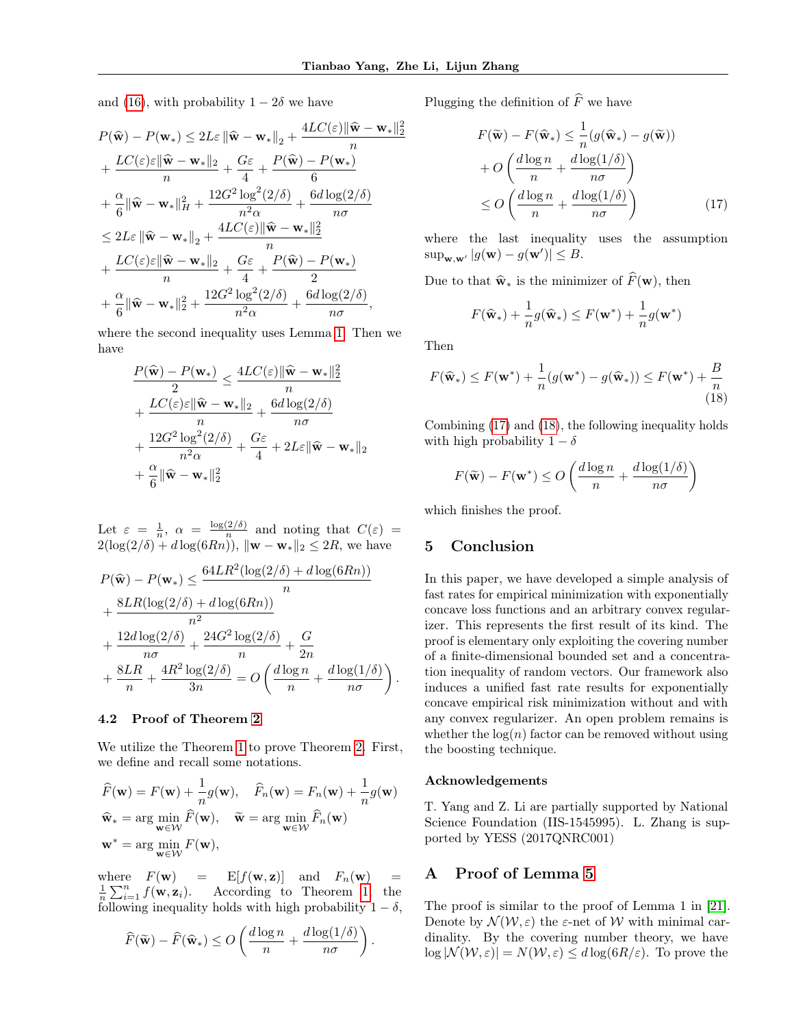$\frac{2}{2}$ 

and [\(16\)](#page-5-5), with probability  $1 - 2\delta$  we have

$$
P(\widehat{\mathbf{w}}) - P(\mathbf{w}_{*}) \le 2L\varepsilon \|\widehat{\mathbf{w}} - \mathbf{w}_{*}\|_{2} + \frac{4LC(\varepsilon)\|\widehat{\mathbf{w}} - \mathbf{w}_{*}\|}{n} + \frac{LC(\varepsilon)\varepsilon\|\widehat{\mathbf{w}} - \mathbf{w}_{*}\|_{2}}{n} + \frac{G\varepsilon}{4} + \frac{P(\widehat{\mathbf{w}}) - P(\mathbf{w}_{*})}{6} + \frac{\alpha}{6}\|\widehat{\mathbf{w}} - \mathbf{w}_{*}\|_{H}^{2} + \frac{12G^{2}\log^{2}(2/\delta)}{n^{2}\alpha} + \frac{6d\log(2/\delta)}{n\sigma} + \frac{2L(\varepsilon)\|\widehat{\mathbf{w}} - \mathbf{w}_{*}\|_{2}}{n} + \frac{4LC(\varepsilon)\|\widehat{\mathbf{w}} - \mathbf{w}_{*}\|_{2}}{n} + \frac{LC(\varepsilon)\varepsilon\|\widehat{\mathbf{w}} - \mathbf{w}_{*}\|_{2}}{n} + \frac{G\varepsilon}{4} + \frac{P(\widehat{\mathbf{w}}) - P(\mathbf{w}_{*})}{2} + \frac{\alpha}{6}\|\widehat{\mathbf{w}} - \mathbf{w}_{*}\|_{2}^{2} + \frac{12G^{2}\log^{2}(2/\delta)}{n^{2}\alpha} + \frac{6d\log(2/\delta)}{n\sigma},
$$

where the second inequality uses Lemma [1.](#page-3-1) Then we have

$$
\begin{aligned} &\frac{P(\widehat{\mathbf{w}})-P(\mathbf{w}_*)}{2} \leq \frac{4LC(\varepsilon)\|\widehat{\mathbf{w}}-\mathbf{w}_*\|_2^2}{n} \\ &+\frac{LC(\varepsilon)\varepsilon\|\widehat{\mathbf{w}}-\mathbf{w}_*\|_2}{n}+\frac{6d\log(2/\delta)}{n\sigma} \\ &+\frac{12G^2\log^2(2/\delta)}{n^2\alpha}+\frac{G\varepsilon}{4}+2L\varepsilon\|\widehat{\mathbf{w}}-\mathbf{w}_*\|_2 \\ &+\frac{\alpha}{6}\|\widehat{\mathbf{w}}-\mathbf{w}_*\|_2^2 \end{aligned}
$$

Let  $\varepsilon = \frac{1}{n}, \alpha = \frac{\log(2/\delta)}{n}$  $\frac{d^2}{n}$  and noting that  $C(\varepsilon)$  =  $2(\log(2/\delta) + d \log(6Rn))$ ,  $\|\mathbf{w} - \mathbf{w}_*\|_2 \leq 2R$ , we have

$$
P(\widehat{\mathbf{w}}) - P(\mathbf{w}_*) \le \frac{64LR^2(\log(2/\delta) + d\log(6Rn))}{n}
$$
  
+ 
$$
\frac{8LR(\log(2/\delta) + d\log(6Rn))}{n^2}
$$
  
+ 
$$
\frac{12d\log(2/\delta)}{n\sigma} + \frac{24G^2\log(2/\delta)}{n} + \frac{G}{2n}
$$
  
+ 
$$
\frac{8LR}{n} + \frac{4R^2\log(2/\delta)}{3n} = O\left(\frac{d\log n}{n} + \frac{d\log(1/\delta)}{n\sigma}\right)
$$

## 4.2 Proof of Theorem [2](#page-4-0)

We utilize the Theorem [1](#page-4-1) to prove Theorem [2.](#page-4-0) First, we define and recall some notations.

$$
\widehat{F}(\mathbf{w}) = F(\mathbf{w}) + \frac{1}{n}g(\mathbf{w}), \quad \widehat{F}_n(\mathbf{w}) = F_n(\mathbf{w}) + \frac{1}{n}g(\mathbf{w})
$$
\n
$$
\widehat{\mathbf{w}}_* = \arg\min_{\mathbf{w} \in \mathcal{W}} \widehat{F}(\mathbf{w}), \quad \widetilde{\mathbf{w}} = \arg\min_{\mathbf{w} \in \mathcal{W}} \widehat{F}_n(\mathbf{w})
$$
\n
$$
\mathbf{w}^* = \arg\min_{\mathbf{w} \in \mathcal{W}} F(\mathbf{w}),
$$

where  $F(\mathbf{w}) = E[f(\mathbf{w}, \mathbf{z})]$  and  $F_n(\mathbf{w}) =$  $\frac{1}{n}\sum_{i=1}^n f(\mathbf{w}, \mathbf{z}_i)$ . According to Theorem [1,](#page-4-1) the following inequality holds with high probability  $1 - \delta$ .

$$
\widehat{F}(\widetilde{\mathbf{w}}) - \widehat{F}(\widehat{\mathbf{w}}_*) \le O\left(\frac{d \log n}{n} + \frac{d \log(1/\delta)}{n\sigma}\right).
$$

Plugging the definition of  $\widehat{F}$  we have

<span id="page-6-0"></span>
$$
F(\widetilde{\mathbf{w}}) - F(\widehat{\mathbf{w}}_*) \leq \frac{1}{n} (g(\widehat{\mathbf{w}}_*) - g(\widetilde{\mathbf{w}}))
$$

$$
+ O\left(\frac{d \log n}{n} + \frac{d \log(1/\delta)}{n\sigma}\right)
$$

$$
\leq O\left(\frac{d \log n}{n} + \frac{d \log(1/\delta)}{n\sigma}\right) \tag{17}
$$

where the last inequality uses the assumption  $\sup_{\mathbf{w},\mathbf{w}'} |g(\mathbf{w}) - g(\mathbf{w}')| \leq B.$ 

Due to that  $\hat{\mathbf{w}}_{*}$  is the minimizer of  $\widehat{F}(\mathbf{w})$ , then

<span id="page-6-1"></span>
$$
F(\widehat{\mathbf{w}}_*) + \frac{1}{n}g(\widehat{\mathbf{w}}_*) \le F(\mathbf{w}^*) + \frac{1}{n}g(\mathbf{w}^*)
$$

Then

$$
F(\widehat{\mathbf{w}}_*) \le F(\mathbf{w}^*) + \frac{1}{n}(g(\mathbf{w}^*) - g(\widehat{\mathbf{w}}_*)) \le F(\mathbf{w}^*) + \frac{B}{n}
$$
\n(18)

Combining [\(17\)](#page-6-0) and [\(18\)](#page-6-1), the following inequality holds with high probability  $1 - \delta$ 

$$
F(\widetilde{\mathbf{w}}) - F(\mathbf{w}^*) \le O\left(\frac{d \log n}{n} + \frac{d \log(1/\delta)}{n\sigma}\right)
$$

which finishes the proof.

### 5 Conclusion

.

In this paper, we have developed a simple analysis of fast rates for empirical minimization with exponentially concave loss functions and an arbitrary convex regularizer. This represents the first result of its kind. The proof is elementary only exploiting the covering number of a finite-dimensional bounded set and a concentration inequality of random vectors. Our framework also induces a unified fast rate results for exponentially concave empirical risk minimization without and with any convex regularizer. An open problem remains is whether the  $log(n)$  factor can be removed without using the boosting technique.

#### Acknowledgements

T. Yang and Z. Li are partially supported by National Science Foundation (IIS-1545995). L. Zhang is supported by YESS (2017QNRC001)

# A Proof of Lemma [5](#page-5-0)

The proof is similar to the proof of Lemma 1 in [\[21\]](#page-8-7). Denote by  $\mathcal{N}(\mathcal{W}, \varepsilon)$  the  $\varepsilon$ -net of W with minimal cardinality. By the covering number theory, we have  $\log |\mathcal{N}(\mathcal{W}, \varepsilon)| = N(\mathcal{W}, \varepsilon) \leq d \log(6R/\varepsilon)$ . To prove the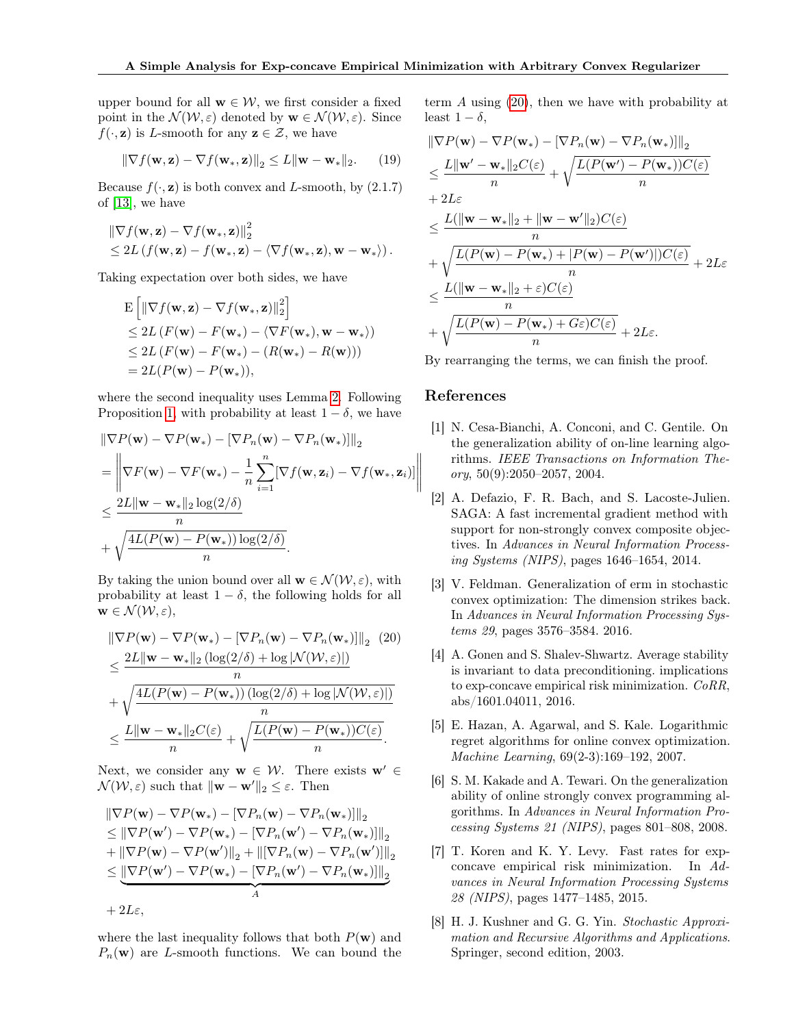upper bound for all  $w \in \mathcal{W}$ , we first consider a fixed point in the  $\mathcal{N}(\mathcal{W}, \varepsilon)$  denoted by  $\mathbf{w} \in \mathcal{N}(\mathcal{W}, \varepsilon)$ . Since  $f(\cdot, \mathbf{z})$  is L-smooth for any  $\mathbf{z} \in \mathcal{Z}$ , we have

$$
\|\nabla f(\mathbf{w}, \mathbf{z}) - \nabla f(\mathbf{w}_*, \mathbf{z})\|_2 \le L \|\mathbf{w} - \mathbf{w}_*\|_2.
$$
 (19)

Because  $f(\cdot, \mathbf{z})$  is both convex and L-smooth, by  $(2.1.7)$ of [\[13\]](#page-8-12), we have

$$
\begin{aligned} & \left\| \nabla f(\mathbf{w}, \mathbf{z}) - \nabla f(\mathbf{w}_*, \mathbf{z}) \right\|_2^2 \\ & \leq 2L \left( f(\mathbf{w}, \mathbf{z}) - f(\mathbf{w}_*, \mathbf{z}) - \langle \nabla f(\mathbf{w}_*, \mathbf{z}), \mathbf{w} - \mathbf{w}_* \rangle \right). \end{aligned}
$$

Taking expectation over both sides, we have

$$
\begin{aligned} &\mathbf{E}\left[\left\|\nabla f(\mathbf{w}, \mathbf{z}) - \nabla f(\mathbf{w}_*, \mathbf{z})\right\|_2^2\right] \\ &\leq 2L\left(F(\mathbf{w}) - F(\mathbf{w}_*) - \langle \nabla F(\mathbf{w}_*), \mathbf{w} - \mathbf{w}_*\rangle\right) \\ &\leq 2L\left(F(\mathbf{w}) - F(\mathbf{w}_*) - (R(\mathbf{w}_*) - R(\mathbf{w}))\right) \\ &= 2L(P(\mathbf{w}) - P(\mathbf{w}_*)), \end{aligned}
$$

where the second inequality uses Lemma [2.](#page-3-2) Following Proposition [1,](#page-4-3) with probability at least  $1 - \delta$ , we have

$$
\|\nabla P(\mathbf{w}) - \nabla P(\mathbf{w}_*) - [\nabla P_n(\mathbf{w}) - \nabla P_n(\mathbf{w}_*)]\|_2
$$
  
=\|\nabla F(\mathbf{w}) - \nabla F(\mathbf{w}\_\*) - \frac{1}{n} \sum\_{i=1}^n [\nabla f(\mathbf{w}, \mathbf{z}\_i) - \nabla f(\mathbf{w}\_\*, \mathbf{z}\_i)]\|\_2  
< \frac{2L \|\mathbf{w} - \mathbf{w}\_\*\|\_2 \log(2/\delta)}{n}  
+ \sqrt{\frac{4L(P(\mathbf{w}) - P(\mathbf{w}\_\*)) \log(2/\delta)}{n}}.

By taking the union bound over all  $\mathbf{w} \in \mathcal{N}(\mathcal{W}, \varepsilon)$ , with probability at least  $1 - \delta$ , the following holds for all  $\mathbf{w} \in \mathcal{N}(\mathcal{W}, \varepsilon),$ 

$$
\|\nabla P(\mathbf{w}) - \nabla P(\mathbf{w}_*) - [\nabla P_n(\mathbf{w}) - \nabla P_n(\mathbf{w}_*)]\|_2 \tag{20}
$$
  
\n
$$
\leq \frac{2L \|\mathbf{w} - \mathbf{w}_*\|_2 (\log(2/\delta) + \log |\mathcal{N}(\mathcal{W}, \varepsilon)|)}{n}
$$
  
\n
$$
+ \sqrt{\frac{4L(P(\mathbf{w}) - P(\mathbf{w}_*)) (\log(2/\delta) + \log |\mathcal{N}(\mathcal{W}, \varepsilon)|)}{n}}
$$
  
\n
$$
\leq \frac{L \|\mathbf{w} - \mathbf{w}_*\|_2 C(\varepsilon)}{n} + \sqrt{\frac{L(P(\mathbf{w}) - P(\mathbf{w}_*)) C(\varepsilon)}{n}}.
$$

Next, we consider any  $\mathbf{w} \in \mathcal{W}$ . There exists  $\mathbf{w}' \in$  $\mathcal{N}(\mathcal{W}, \varepsilon)$  such that  $\|\mathbf{w} - \mathbf{w}'\|_2 \leq \varepsilon$ . Then

$$
\|\nabla P(\mathbf{w}) - \nabla P(\mathbf{w}_*) - [\nabla P_n(\mathbf{w}) - \nabla P_n(\mathbf{w}_*)]\|_2
$$
  
\n
$$
\leq \|\nabla P(\mathbf{w}') - \nabla P(\mathbf{w}_*) - [\nabla P_n(\mathbf{w}') - \nabla P_n(\mathbf{w}_*)]\|_2
$$
  
\n
$$
+ \|\nabla P(\mathbf{w}) - \nabla P(\mathbf{w}')\|_2 + \|\nabla P_n(\mathbf{w}) - \nabla P_n(\mathbf{w}')\|_2
$$
  
\n
$$
\leq \underbrace{\|\nabla P(\mathbf{w}') - \nabla P(\mathbf{w}_*) - [\nabla P_n(\mathbf{w}') - \nabla P_n(\mathbf{w}_*)]\|_2}_A
$$
  
\n+2L\varepsilon,

where the last inequality follows that both  $P(\mathbf{w})$  and  $P_n(\mathbf{w})$  are L-smooth functions. We can bound the term A using [\(20\)](#page-7-8), then we have with probability at least  $1 - \delta$ .

$$
\|\nabla P(\mathbf{w}) - \nabla P(\mathbf{w}_*) - \|\nabla P_n(\mathbf{w}) - \nabla P_n(\mathbf{w}_*)\|_2
$$
\n
$$
\leq \frac{L \|\mathbf{w}' - \mathbf{w}_*\|_2 C(\varepsilon)}{n} + \sqrt{\frac{L(P(\mathbf{w}') - P(\mathbf{w}_*))C(\varepsilon)}{n}}
$$
\n+ 2L\varepsilon\n
$$
\leq \frac{L(\|\mathbf{w} - \mathbf{w}_*\|_2 + \|\mathbf{w} - \mathbf{w}'\|_2)C(\varepsilon)}{n}
$$
\n+  $\sqrt{\frac{L(P(\mathbf{w}) - P(\mathbf{w}_*) + |P(\mathbf{w}) - P(\mathbf{w}')|)C(\varepsilon)}{n}} + 2L\varepsilon$ \n
$$
\leq \frac{L(\|\mathbf{w} - \mathbf{w}_*\|_2 + \varepsilon)C(\varepsilon)}{n}
$$
\n+  $\sqrt{\frac{L(P(\mathbf{w}) - P(\mathbf{w}_*) + G\varepsilon)C(\varepsilon)}{n}} + 2L\varepsilon$ .

By rearranging the terms, we can finish the proof.

### References

- <span id="page-7-2"></span>[1] N. Cesa-Bianchi, A. Conconi, and C. Gentile. On the generalization ability of on-line learning algorithms. IEEE Transactions on Information The $ory, 50(9):2050-2057, 2004.$
- <span id="page-7-6"></span>[2] A. Defazio, F. R. Bach, and S. Lacoste-Julien. SAGA: A fast incremental gradient method with support for non-strongly convex composite objectives. In Advances in Neural Information Processing Systems (NIPS), pages 1646–1654, 2014.
- <span id="page-7-7"></span>[3] V. Feldman. Generalization of erm in stochastic convex optimization: The dimension strikes back. In Advances in Neural Information Processing Systems 29, pages 3576–3584. 2016.
- <span id="page-7-8"></span><span id="page-7-5"></span>[4] A. Gonen and S. Shalev-Shwartz. Average stability is invariant to data preconditioning. implications to exp-concave empirical risk minimization. CoRR, abs/1601.04011, 2016.
- <span id="page-7-1"></span>[5] E. Hazan, A. Agarwal, and S. Kale. Logarithmic regret algorithms for online convex optimization. Machine Learning, 69(2-3):169–192, 2007.
- <span id="page-7-3"></span>[6] S. M. Kakade and A. Tewari. On the generalization ability of online strongly convex programming algorithms. In Advances in Neural Information Processing Systems 21 (NIPS), pages 801–808, 2008.
- <span id="page-7-4"></span>[7] T. Koren and K. Y. Levy. Fast rates for expconcave empirical risk minimization. In Advances in Neural Information Processing Systems 28 (NIPS), pages 1477–1485, 2015.
- <span id="page-7-0"></span>[8] H. J. Kushner and G. G. Yin. Stochastic Approximation and Recursive Algorithms and Applications. Springer, second edition, 2003.